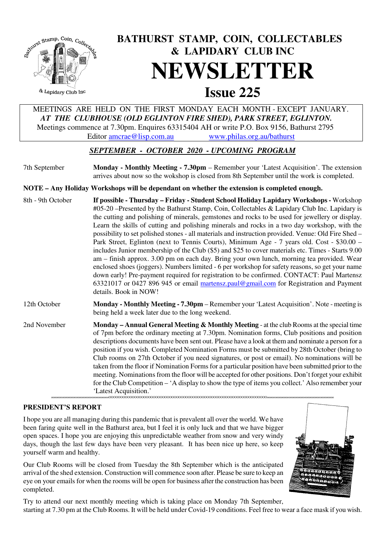

 **BATHURST STAMP, COIN, COLLECTABLES & LAPIDARY CLUB INC NEWSLETTER**<br>Issue 225

& Lapidary Club Inc

 MEETINGS ARE HELD ON THE FIRST MONDAY EACH MONTH - EXCEPT JANUARY.  *AT THE CLUBHOUSE (OLD EGLINTON FIRE SHED), PARK STREET, EGLINTON.*  Meetings commence at 7.30pm. Enquires 63315404 AH or write P.O. Box 9156, Bathurst 2795 Editor amcrae@lisp.com.au www.philas.org.au/bathurst

# *SEPTEMBER - OCTOBER 2020 - UPCOMING PROGRAM*

7th September **Monday - Monthly Meeting - 7.30pm** – Remember your 'Latest Acquisition'. The extension arrives about now so the wokshop is closed from 8th September until the work is completed.

## **NOTE – Any Holiday Workshops will be dependant on whether the extension is completed enough.**

8th - 9th October **If possible - Thursday – Friday - Student School Holiday Lapidary Workshops -** Workshop #05-20 –Presented by the Bathurst Stamp, Coin, Collectables & Lapidary Club Inc. Lapidary is the cutting and polishing of minerals, gemstones and rocks to be used for jewellery or display. Learn the skills of cutting and polishing minerals and rocks in a two day workshop, with the possibility to set polished stones - all materials and instruction provided. Venue: Old Fire Shed – Park Street, Eglinton (next to Tennis Courts), Minimum Age - 7 years old. Cost - \$30.00 – includes Junior membership of the Club (\$5) and \$25 to cover materials etc. Times - Starts 9.00 am – finish approx. 3.00 pm on each day. Bring your own lunch, morning tea provided. Wear enclosed shoes (joggers). Numbers limited - 6 per workshop for safety reasons, so get your name down early! Pre-payment required for registration to be confirmed. CONTACT: Paul Martensz 63321017 or 0427 896 945 or email martensz.paul@gmail.com for Registration and Payment details. Book in NOW! 12th October **Monday - Monthly Meeting - 7.30pm** – Remember your 'Latest Acquisition'. Note - meeting is being held a week later due to the long weekend.

2nd November **Monday – Annual General Meeting & Monthly Meeting** - at the club Rooms at the special time of 7pm before the ordinary meeting at 7.30pm. Nomination forms, Club positions and position descriptions documents have been sent out. Please have a look at them and nominate a person for a position if you wish. Completed Nomination Forms must be submitted by 28th October (bring to Club rooms on 27th October if you need signatures, or post or email). No nominations will be taken from the floor if Nomination Forms for a particular position have been submitted prior to the meeting. Nominations from the floor will be accepted for other positions. Don't forget your exhibit for the Club Competition – 'A display to show the type of items you collect.' Also remember your 'Latest Acquisition.' oooooooooooooooooooooooooooooooooooooOOOOOOOOOOOOOOOOOOOOOOOOOOOOOOOOOOOOOOOOOOOOOOOOOOOOOOOOOOOOOOOOOOOOooooooooooooooooooooooooooooooooooooooooooo

## **PRESIDENT'S REPORT**

I hope you are all managing during this pandemic that is prevalent all over the world. We have been faring quite well in the Bathurst area, but I feel it is only luck and that we have bigger open spaces. I hope you are enjoying this unpredictable weather from snow and very windy days, though the last few days have been very pleasant. It has been nice up here, so keep yourself warm and healthy.

Our Club Rooms will be closed from Tuesday the 8th September which is the anticipated arrival of the shed extension. Construction will commence soon after. Please be sure to keep an eye on your emails for when the rooms will be open for business after the construction has been completed.



Try to attend our next monthly meeting which is taking place on Monday 7th September, starting at 7.30 pm at the Club Rooms. It will be held under Covid-19 conditions. Feel free to wear a face mask if you wish.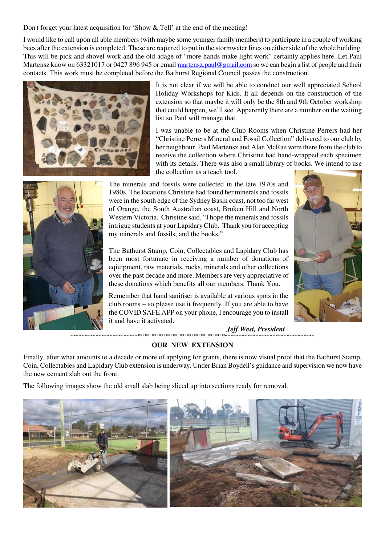Don't forget your latest acquisition for 'Show & Tell' at the end of the meeting!

I would like to call upon all able members (with maybe some younger family members) to participate in a couple of working bees after the extension is completed. These are required to put in the stormwater lines on either side of the whole building. This will be pick and shovel work and the old adage of "more hands make light work" certainly applies here. Let Paul Martensz know on 63321017 or 0427 896 945 or email martensz.paul@gmail.com so we can begin a list of people and their contacts. This work must be completed before the Bathurst Regional Council passes the construction.



It is not clear if we will be able to conduct our well appreciated School Holiday Workshops for Kids. It all depends on the construction of the extension so that maybe it will only be the 8th and 9th October workshop that could happen, we'll see. Apparently there are a number on the waiting list so Paul will manage that.

I was unable to be at the Club Rooms when Christine Perrers had her "Christine Perrers Mineral and Fossil Collection" delivered to our club by her neighbour. Paul Martensz and Alan McRae were there from the club to receive the collection where Christine had hand-wrapped each specimen with its details. There was also a small library of books. We intend to use the collection as a teach tool.



The minerals and fossils were collected in the late 1970s and 1980s. The locations Christine had found her minerals and fossils were in the south edge of the Sydney Basin coast, not too far west of Orange, the South Australian coast, Broken Hill and North Western Victoria. Christine said, "I hope the minerals and fossils intrigue students at your Lapidary Club. Thank you for accepting my minerals and fossils, and the books."

The Bathurst Stamp, Coin, Collectables and Lapidary Club has been most fortunate in receiving a number of donations of equipment, raw materials, rocks, minerals and other collections over the past decade and more. Members are very appreciative of these donations which benefits all our members. Thank You.

Remember that hand sanitiser is available at various spots in the club rooms – so please use it frequently. If you are able to have the COVID SAFE APP on your phone, I encourage you to install it and have it activated.

 *Jeff West, President* 

## **OUR NEW EXTENSION**

oooooooooooooooooooooooooooooooooooooooooooOOOOOOOOOOOOOOOOOOOOOOOOOOOOOOOOOOOOOOoooooooooooooooooooooooooooooooooooooooooooooooooooooooooo

Finally, after what amounts to a decade or more of applying for grants, there is now visual proof that the Bathurst Stamp, Coin, Collectables and Lapidary Club extension is underway. Under Brian Boydell's guidance and supervision we now have the new cement slab out the front.

The following images show the old small slab being sliced up into sections ready for removal.

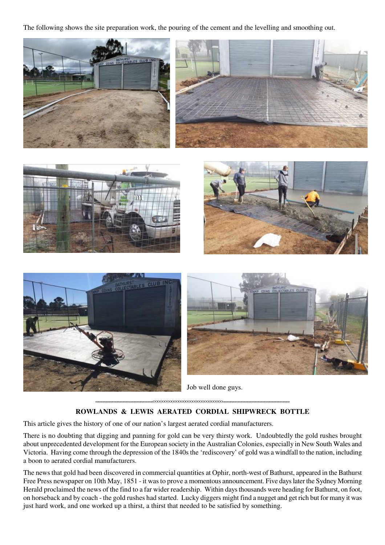The following shows the site preparation work, the pouring of the cement and the levelling and smoothing out.



Job well done guys.

# **ROWLANDS & LEWIS AERATED CORDIAL SHIPWRECK BOTTLE**

oooooooooooooooooooooooooooooooooooooOOOOOOOOOOOOOOOOOOOOOOOOOOOOOOooooooooooooooooooooooooooooooooooooooooooo

This article gives the history of one of our nation's largest aerated cordial manufacturers.

There is no doubting that digging and panning for gold can be very thirsty work. Undoubtedly the gold rushes brought about unprecedented development for the European society in the Australian Colonies, especially in New South Wales and Victoria. Having come through the depression of the 1840s the 'rediscovery' of gold was a windfall to the nation, including a boon to aerated cordial manufacturers.

The news that gold had been discovered in commercial quantities at Ophir, north-west of Bathurst, appeared in the Bathurst Free Press newspaper on 10th May, 1851 - it was to prove a momentous announcement. Five days later the Sydney Morning Herald proclaimed the news of the find to a far wider readership. Within days thousands were heading for Bathurst, on foot, on horseback and by coach - the gold rushes had started. Lucky diggers might find a nugget and get rich but for many it was just hard work, and one worked up a thirst, a thirst that needed to be satisfied by something.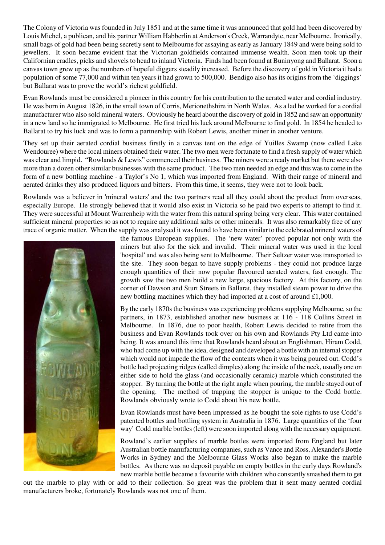The Colony of Victoria was founded in July 1851 and at the same time it was announced that gold had been discovered by Louis Michel, a publican, and his partner William Habberlin at Anderson's Creek, Warrandyte, near Melbourne. Ironically, small bags of gold had been being secretly sent to Melbourne for assaying as early as January 1849 and were being sold to jewellers. It soon became evident that the Victorian goldfields contained immense wealth. Soon men took up their Californian cradles, picks and shovels to head to inland Victoria. Finds had been found at Buninyong and Ballarat. Soon a canvas town grew up as the numbers of hopeful diggers steadily increased. Before the discovery of gold in Victoria it had a population of some 77,000 and within ten years it had grown to 500,000. Bendigo also has its origins from the 'diggings' but Ballarat was to prove the world's richest goldfield.

Evan Rowlands must be considered a pioneer in this country for his contribution to the aerated water and cordial industry. He was born in August 1826, in the small town of Corris, Merionethshire in North Wales. As a lad he worked for a cordial manufacturer who also sold mineral waters. Obviously he heard about the discovery of gold in 1852 and saw an opportunity in a new land so he immigrated to Melbourne. He first tried his luck around Melbourne to find gold. In 1854 he headed to Ballarat to try his luck and was to form a partnership with Robert Lewis, another miner in another venture.

They set up their aerated cordial business firstly in a canvas tent on the edge of Yuilles Swamp (now called Lake Wendouree) where the local miners obtained their water. The two men were fortunate to find a fresh supply of water which was clear and limpid. "Rowlands & Lewis" commenced their business. The miners were a ready market but there were also more than a dozen other similar businesses with the same product. The two men needed an edge and this was to come in the form of a new bottling machine - a Taylor's No 1, which was imported from England. With their range of mineral and aerated drinks they also produced liquors and bitters. From this time, it seems, they were not to look back.

Rowlands was a believer in 'mineral waters' and the two partners read all they could about the product from overseas, especially Europe. He strongly believed that it would also exist in Victoria so he paid two experts to attempt to find it. They were successful at Mount Warrenheip with the water from this natural spring being very clear. This water contained sufficient mineral properties so as not to require any additional salts or other minerals. It was also remarkably free of any trace of organic matter. When the supply was analysed it was found to have been similar to the celebrated mineral waters of



the famous European supplies. The 'new water' proved popular not only with the miners but also for the sick and invalid. Their mineral water was used in the local 'hospital' and was also being sent to Melbourne. Their Seltzer water was transported to the site. They soon began to have supply problems - they could not produce large enough quantities of their now popular flavoured aerated waters, fast enough. The growth saw the two men build a new large, spacious factory. At this factory, on the corner of Dawson and Sturt Streets in Ballarat, they installed steam power to drive the new bottling machines which they had imported at a cost of around £1,000.

By the early 1870s the business was experiencing problems supplying Melbourne, so the partners, in 1873, established another new business at 116 - 118 Collins Street in Melbourne. In 1876, due to poor health, Robert Lewis decided to retire from the business and Evan Rowlands took over on his own and Rowlands Pty Ltd came into being. It was around this time that Rowlands heard about an Englishman, Hiram Codd, who had come up with the idea, designed and developed a bottle with an internal stopper which would not impede the flow of the contents when it was being poured out. Codd's bottle had projecting ridges (called dimples) along the inside of the neck, usually one on either side to hold the glass (and occasionally ceramic) marble which constituted the stopper. By turning the bottle at the right angle when pouring, the marble stayed out of the opening. The method of trapping the stopper is unique to the Codd bottle. Rowlands obviously wrote to Codd about his new bottle.

Evan Rowlands must have been impressed as he bought the sole rights to use Codd's patented bottles and bottling system in Australia in 1876. Large quantities of the 'four way' Codd marble bottles (left) were soon imported along with the necessary equipment.

Rowland's earlier supplies of marble bottles were imported from England but later Australian bottle manufacturing companies, such as Vance and Ross, Alexander's Bottle Works in Sydney and the Melbourne Glass Works also began to make the marble bottles. As there was no deposit payable on empty bottles in the early days Rowland's new marble bottle became a favourite with children who constantly smashed them to get

out the marble to play with or add to their collection. So great was the problem that it sent many aerated cordial manufacturers broke, fortunately Rowlands was not one of them.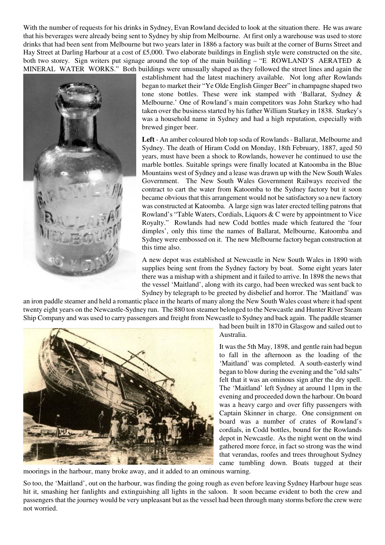With the number of requests for his drinks in Sydney, Evan Rowland decided to look at the situation there. He was aware that his beverages were already being sent to Sydney by ship from Melbourne. At first only a warehouse was used to store drinks that had been sent from Melbourne but two years later in 1886 a factory was built at the corner of Burns Street and Hay Street at Darling Harbour at a cost of £5,000. Two elaborate buildings in English style were constructed on the site, both two storey. Sign writers put signage around the top of the main building – "E ROWLAND'S AERATED  $\&$ MINERAL WATER WORKS." Both buildings were unusually shaped as they followed the street lines and again the



establishment had the latest machinery available. Not long after Rowlands began to market their "Ye Olde English Ginger Beer" in champagne shaped two tone stone bottles. These were ink stamped with 'Ballarat, Sydney & Melbourne.' One of Rowland's main competitors was John Starkey who had taken over the business started by his father William Starkey in 1838. Starkey's was a household name in Sydney and had a high reputation, especially with brewed ginger beer.

**Left** - An amber coloured blob top soda of Rowlands - Ballarat, Melbourne and Sydney. The death of Hiram Codd on Monday, 18th February, 1887, aged 50 years, must have been a shock to Rowlands, however he continued to use the marble bottles. Suitable springs were finally located at Katoomba in the Blue Mountains west of Sydney and a lease was drawn up with the New South Wales Government. The New South Wales Government Railways received the contract to cart the water from Katoomba to the Sydney factory but it soon became obvious that this arrangement would not be satisfactory so a new factory was constructed at Katoomba. A large sign was later erected telling patrons that Rowland's "Table Waters, Cordials, Liquors & C were by appointment to Vice Royalty." Rowlands had new Codd bottles made which featured the 'four dimples', only this time the names of Ballarat, Melbourne, Katoomba and Sydney were embossed on it. The new Melbourne factory began construction at this time also.

A new depot was established at Newcastle in New South Wales in 1890 with supplies being sent from the Sydney factory by boat. Some eight years later there was a mishap with a shipment and it failed to arrive. In 1898 the news that the vessel 'Maitland', along with its cargo, had been wrecked was sent back to Sydney by telegraph to be greeted by disbelief and horror. The 'Maitland' was

an iron paddle steamer and held a romantic place in the hearts of many along the New South Wales coast where it had spent twenty eight years on the Newcastle-Sydney run. The 880 ton steamer belonged to the Newcastle and Hunter River Steam Ship Company and was used to carry passengers and freight from Newcastle to Sydney and back again. The paddle steamer



had been built in 1870 in Glasgow and sailed out to Australia.

It was the 5th May, 1898, and gentle rain had begun to fall in the afternoon as the loading of the 'Maitland' was completed. A south-easterly wind began to blow during the evening and the "old salts" felt that it was an ominous sign after the dry spell. The 'Maitland' left Sydney at around 11pm in the evening and proceeded down the harbour. On board was a heavy cargo and over fifty passengers with Captain Skinner in charge. One consignment on board was a number of crates of Rowland's cordials, in Codd bottles, bound for the Rowlands depot in Newcastle. As the night went on the wind gathered more force, in fact so strong was the wind that verandas, roofes and trees throughout Sydney came tumbling down. Boats tugged at their

moorings in the harbour, many broke away, and it added to an ominous warning.

So too, the 'Maitland', out on the harbour, was finding the going rough as even before leaving Sydney Harbour huge seas hit it, smashing her fanlights and extinguishing all lights in the saloon. It soon became evident to both the crew and passengers that the journey would be very unpleasant but as the vessel had been through many storms before the crew were not worried.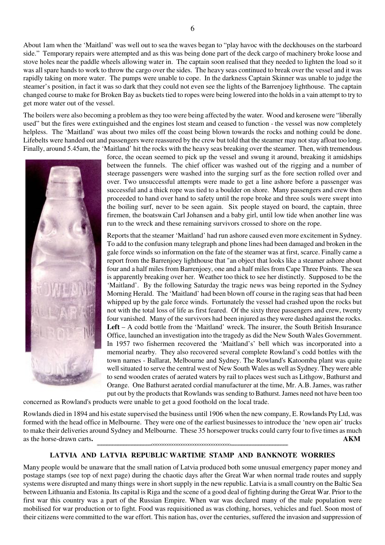About 1am when the 'Maitland' was well out to sea the waves began to "play havoc with the deckhouses on the starboard side." Temporary repairs were attempted and as this was being done part of the deck cargo of machinery broke loose and stove holes near the paddle wheels allowing water in. The captain soon realised that they needed to lighten the load so it was all spare hands to work to throw the cargo over the sides. The heavy seas continued to break over the vessel and it was rapidly taking on more water. The pumps were unable to cope. In the darkness Captain Skinner was unable to judge the steamer's position, in fact it was so dark that they could not even see the lights of the Barrenjoey lighthouse. The captain changed course to make for Broken Bay as buckets tied to ropes were being lowered into the holds in a vain attempt to try to get more water out of the vessel.

The boilers were also becoming a problem as they too were being affected by the water. Wood and kerosene were "liberally used" but the fires were extinguished and the engines lost steam and ceased to function - the vessel was now completely helpless. The 'Maitland' was about two miles off the coast being blown towards the rocks and nothing could be done. Lifebelts were handed out and passengers were reassured by the crew but told that the steamer may not stay afloat too long. Finally, around 5.45am, the 'Maitland' hit the rocks with the heavy seas breaking over the steamer. Then, with tremendous



force, the ocean seemed to pick up the vessel and swung it around, breaking it amidships between the funnels. The chief officer was washed out of the rigging and a number of steerage passengers were washed into the surging surf as the fore section rolled over and over. Two unsuccessful attempts were made to get a line ashore before a passenger was successful and a thick rope was tied to a boulder on shore. Many passengers and crew then proceeded to hand over hand to safety until the rope broke and three souls were swept into the boiling surf, never to be seen again. Six people stayed on board, the captain, three firemen, the boatswain Carl Johansen and a baby girl, until low tide when another line was run to the wreck and these remaining survivors crossed to shore on the rope.

Reports that the steamer 'Maitland' had run ashore caused even more excitement in Sydney. To add to the confusion many telegraph and phone lines had been damaged and broken in the gale force winds so information on the fate of the steamer was at first, scarce. Finally came a report from the Barrenjoey lighthouse that "an object that looks like a steamer ashore about four and a half miles from Barrenjoey, one and a half miles from Cape Three Points. The sea is apparently breaking over her. Weather too thick to see her distinctly. Supposed to be the 'Maitland'. By the following Saturday the tragic news was being reported in the Sydney Morning Herald. The 'Maitland' had been blown off course in the raging seas that had been whipped up by the gale force winds. Fortunately the vessel had crashed upon the rocks but not with the total loss of life as first feared. Of the sixty three passengers and crew, twenty four vanished. Many of the survivors had been injured as they were dashed against the rocks. **Left** – A codd bottle from the 'Maitland' wreck. The insurer, the South British Insurance Office, launched an investigation into the tragedy as did the New South Wales Government. In 1957 two fishermen recovered the 'Maitland's' bell which was incorporated into a memorial nearby. They also recovered several complete Rowland's codd bottles with the town names - Ballarat, Melbourne and Sydney. The Rowland's Katoomba plant was quite well situated to serve the central west of New South Wales as well as Sydney. They were able to send wooden crates of aerated waters by rail to places west such as Lithgow, Bathurst and Orange. One Bathurst aerated cordial manufacturer at the time, Mr. A.B. James, was rather put out by the products that Rowlands was sending to Bathurst. James need not have been too

concerned as Rowland's products were unable to get a good foothold on the local trade.

Rowlands died in 1894 and his estate supervised the business until 1906 when the new company, E. Rowlands Pty Ltd, was formed with the head office in Melbourne. They were one of the earliest businesses to introduce the 'new open air' trucks to make their deliveries around Sydney and Melbourne. These 35 horsepower trucks could carry four to five times as much as the horse-drawn carts**. AKM** oooooooooooooooooooooooooooooooooooOOOOOOOOOOOOOOOOOOOOOOOOOOOOOOOOOOooooooooooooooooooooooooooooooooooooo

## **LATVIA AND LATVIA REPUBLIC WARTIME STAMP AND BANKNOTE WORRIES**

Many people would be unaware that the small nation of Latvia produced both some unusual emergency paper money and postage stamps (see top of next page) during the chaotic days after the Great War when normal trade routes and supply systems were disrupted and many things were in short supply in the new republic. Latvia is a small country on the Baltic Sea between Lithuania and Estonia. Its capital is Riga and the scene of a good deal of fighting during the Great War. Prior to the first war this country was a part of the Russian Empire. When war was declared many of the male population were mobilised for war production or to fight. Food was requisitioned as was clothing, horses, vehicles and fuel. Soon most of their citizens were committed to the war effort. This nation has, over the centuries, suffered the invasion and suppression of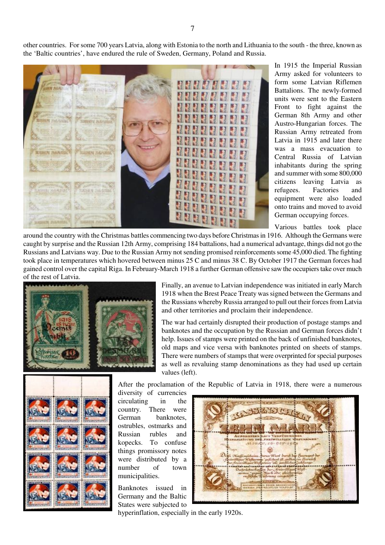other countries. For some 700 years Latvia, along with Estonia to the north and Lithuania to the south - the three, known as the 'Baltic countries', have endured the rule of Sweden, Germany, Poland and Russia.



In 1915 the Imperial Russian Army asked for volunteers to form some Latvian Riflemen Battalions. The newly-formed units were sent to the Eastern Front to fight against the German 8th Army and other Austro-Hungarian forces. The Russian Army retreated from Latvia in 1915 and later there was a mass evacuation to Central Russia of Latvian inhabitants during the spring and summer with some 800,000 citizens leaving Latvia as refugees. Factories and equipment were also loaded onto trains and moved to avoid German occupying forces.

Various battles took place

around the country with the Christmas battles commencing two days before Christmas in 1916. Although the Germans were caught by surprise and the Russian 12th Army, comprising 184 battalions, had a numerical advantage, things did not go the Russians and Latvians way. Due to the Russian Army not sending promised reinforcements some 45,000 died. The fighting took place in temperatures which hovered between minus 25 C and minus 38 C. By October 1917 the German forces had gained control over the capital Riga. In February-March 1918 a further German offensive saw the occupiers take over much of the rest of Latvia.



Finally, an avenue to Latvian independence was initiated in early March 1918 when the Brest Peace Treaty was signed between the Germans and the Russians whereby Russia arranged to pull out their forces from Latvia and other territories and proclaim their independence.

The war had certainly disrupted their production of postage stamps and banknotes and the occupation by the Russian and German forces didn't help. Issues of stamps were printed on the back of unfinished banknotes, old maps and vice versa with banknotes printed on sheets of stamps. There were numbers of stamps that were overprinted for special purposes as well as revaluing stamp denominations as they had used up certain values (left).



After the proclamation of the Republic of Latvia in 1918, there were a numerous

diversity of currencies circulating in the country. There were German banknotes, ostrubles, ostmarks and Russian rubles and kopecks. To confuse things promissory notes were distributed by a number of town municipalities.

Banknotes issued in Germany and the Baltic States were subjected to



hyperinflation, especially in the early 1920s.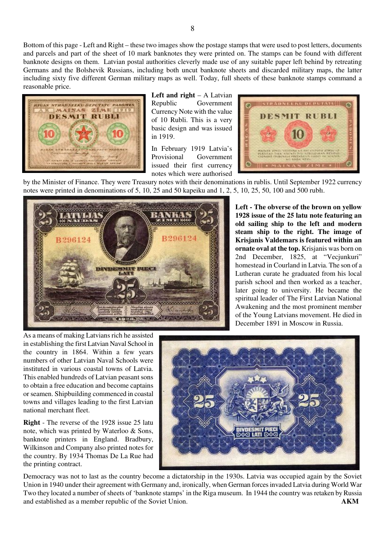Bottom of this page - Left and Right – these two images show the postage stamps that were used to post letters, documents and parcels and part of the sheet of 10 mark banknotes they were printed on. The stamps can be found with different banknote designs on them. Latvian postal authorities cleverly made use of any suitable paper left behind by retreating Germans and the Bolshevik Russians, including both uncut banknote sheets and discarded military maps, the latter including sixty five different German military maps as well. Today, full sheets of these banknote stamps command a reasonable price.



**Left and right** – A Latvian Republic Government Currency Note with the value of 10 Rubli. This is a very basic design and was issued in 1919.

In February 1919 Latvia's Provisional Government issued their first currency notes which were authorised



by the Minister of Finance. They were Treasury notes with their denominations in rublis. Until September 1922 currency notes were printed in denominations of 5, 10, 25 and 50 kapeiku and 1, 2, 5, 10, 25, 50, 100 and 500 rubłı.



**Left - The obverse of the brown on yellow 1928 issue of the 25 latu note featuring an old sailing ship to the left and modern steam ship to the right. The image of Krisjanis Valdemars is featured within an ornate oval at the top.** Krisjanis was born on 2nd December, 1825, at "Vecjunkuri" homestead in Courland in Latvia. The son of a Lutheran curate he graduated from his local parish school and then worked as a teacher, later going to university. He became the spiritual leader of The First Latvian National Awakening and the most prominent member of the Young Latvians movement. He died in December 1891 in Moscow in Russia.

As a means of making Latvians rich he assisted in establishing the first Latvian Naval School in the country in 1864. Within a few years numbers of other Latvian Naval Schools were instituted in various coastal towns of Latvia. This enabled hundreds of Latvian peasant sons to obtain a free education and become captains or seamen. Shipbuilding commenced in coastal towns and villages leading to the first Latvian national merchant fleet.

**Right** - The reverse of the 1928 issue 25 latu note, which was printed by Waterloo & Sons, banknote printers in England. Bradbury, Wilkinson and Company also printed notes for the country. By 1934 Thomas De La Rue had the printing contract.



Democracy was not to last as the country become a dictatorship in the 1930s. Latvia was occupied again by the Soviet Union in 1940 under their agreement with Germany and, ironically, when German forces invaded Latvia during World War Two they located a number of sheets of 'banknote stamps' in the Riga museum. In 1944 the country was retaken by Russia and established as a member republic of the Soviet Union. **AKM**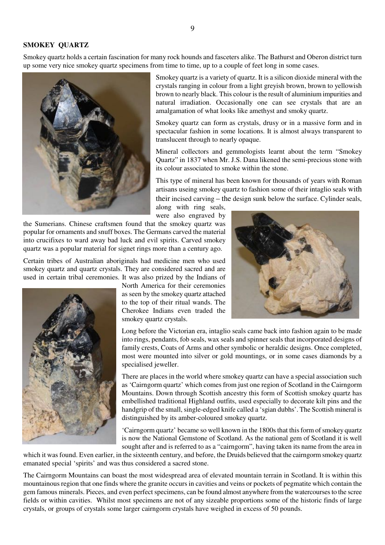#### **SMOKEY QUARTZ**

Smokey quartz holds a certain fascination for many rock hounds and fasceters alike. The Bathurst and Oberon district turn up some very nice smokey quartz specimens from time to time, up to a couple of feet long in some cases.



Smokey quartz is a variety of quartz. It is a silicon dioxide mineral with the crystals ranging in colour from a light greyish brown, brown to yellowish brown to nearly black. This colour is the result of aluminium impurities and natural irradiation. Occasionally one can see crystals that are an amalgamation of what looks like amethyst and smoky quartz.

Smokey quartz can form as crystals, drusy or in a massive form and in spectacular fashion in some locations. It is almost always transparent to translucent through to nearly opaque.

Mineral collectors and gemmologists learnt about the term "Smokey Quartz" in 1837 when Mr. J.S. Dana likened the semi-precious stone with its colour associated to smoke within the stone.

This type of mineral has been known for thousands of years with Roman artisans useing smokey quartz to fashion some of their intaglio seals with their incised carving – the design sunk below the surface. Cylinder seals,

along with ring seals, were also engraved by

the Sumerians. Chinese craftsmen found that the smokey quartz was popular for ornaments and snuff boxes. The Germans carved the material into crucifixes to ward away bad luck and evil spirits. Carved smokey quartz was a popular material for signet rings more than a century ago.

Certain tribes of Australian aboriginals had medicine men who used smokey quartz and quartz crystals. They are considered sacred and are used in certain tribal ceremonies. It was also prized by the Indians of



North America for their ceremonies as seen by the smokey quartz attached to the top of their ritual wands. The Cherokee Indians even traded the smokey quartz crystals.



Long before the Victorian era, intaglio seals came back into fashion again to be made into rings, pendants, fob seals, wax seals and spinner seals that incorporated designs of family crests, Coats of Arms and other symbolic or heraldic designs. Once completed, most were mounted into silver or gold mountings, or in some cases diamonds by a specialised jeweller.

There are places in the world where smokey quartz can have a special association such as 'Cairngorm quartz' which comes from just one region of Scotland in the Cairngorm Mountains. Down through Scottish ancestry this form of Scottish smokey quartz has embellished traditional Highland outfits, used especially to decorate kilt pins and the handgrip of the small, single-edged knife called a 'sgian dubhs'. The Scottish mineral is distinguished by its amber-coloured smokey quartz.

'Cairngorm quartz' became so well known in the 1800s that this form of smokey quartz is now the National Gemstone of Scotland. As the national gem of Scotland it is well sought after and is referred to as a "cairngorm", having taken its name from the area in

which it was found. Even earlier, in the sixteenth century, and before, the Druids believed that the cairngorm smokey quartz emanated special 'spirits' and was thus considered a sacred stone.

The Cairngorm Mountains can boast the most widespread area of elevated mountain terrain in Scotland. It is within this mountainous region that one finds where the granite occurs in cavities and veins or pockets of pegmatite which contain the gem famous minerals. Pieces, and even perfect specimens, can be found almost anywhere from the watercourses to the scree fields or within cavities. Whilst most specimens are not of any sizeable proportions some of the historic finds of large crystals, or groups of crystals some larger cairngorm crystals have weighed in excess of 50 pounds.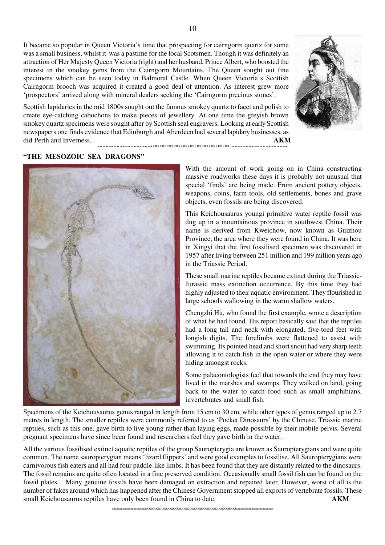It became so popular in Queen Victoria's time that prospecting for cairngorm quartz for some was a small business, whilst it was a pastime for the local Scotsmen. Though it was definitely an attraction of Her Majesty Queen Victoria (right) and her husband, Prince Albert, who boosted the interest in the smokey gems from the Cairngorm Mountains. The Queen sought out fine specimens which can be seen today in Balmoral Castle. When Queen Victoria's Scottish Cairngorm brooch was acquired it created a good deal of attention. As interest grew more 'prospectors' arrived along with mineral dealers seeking the 'Cairngorm precious stones'.

Scottish lapidaries in the mid 1800s sought out the famous smokey quartz to facet and polish to create eye-catching cabochons to make pieces of jewellery. At one time the greyish brown smokey quartz specimens were sought after by Scottish seal engravers. Looking at early Scottish newspapers one finds evidence that Edinburgh and Aberdeen had several lapidary businesses, as did Perth and Inverness. **AKM** oooooooooooooooooooooooooooooooooooOOOOOOOOOOOOOOOOOOOOOOOOOOOOOOOOOOooooooooooooooooooooooooooooooooooooo

> With the amount of work going on in China constructing massive roadworks these days it is probably not unusual that special 'finds' are being made. From ancient pottery objects, weapons, coins, farm tools, old settlements, bones and grave objects, even fossils are being discovered.

> This Keichousaurus youngi primitive water reptile fossil was dug up in a mountainous province in southwest China. Their name is derived from Kweichow, now known as Guizhou Province, the area where they were found in China. It was here in Xingyi that the first fossilised specimen was discovered in 1957 after living between 251 million and 199 million years ago in the Triassic Period.

> These small marine reptiles became extinct during the Triassic-Jurassic mass extinction occurrence. By this time they had highly adjusted to their aquatic environment. They flourished in large schools wallowing in the warm shallow waters.

> Chengzhi Hu, who found the first example, wrote a description of what he had found. His report basically said that the reptiles had a long tail and neck with elongated, five-toed feet with longish digits. The forelimbs were flattened to assist with swimming. Its pointed head and short snout had very sharp teeth allowing it to catch fish in the open water or where they were hiding amongst rocks.

> Some palaeontologists feel that towards the end they may have lived in the marshes and swamps. They walked on land, going back to the water to catch food such as small amphibians, invertebrates and small fish.

Specimens of the Keichousaurus genus ranged in length from 15 cm to 30 cm, while other types of genus ranged up to 2.7 metres in length. The smaller reptiles were commonly referred to as 'Pocket Dinosaurs' by the Chinese. Triassic marine reptiles, such as this one, gave birth to live young rather than laying eggs, made possible by their mobile pelvis. Several pregnant specimens have since been found and researchers feel they gave birth in the water.

All the various fossilised extinct aquatic reptiles of the group Sauropterygia are known as Sauropterygians and were quite common. The name sauropterygian means 'lizard flippers' and were good examples to fossilise. All Sauropterygians were carnivorous fish eaters and all had four paddle-like limbs. It has been found that they are distantly related to the dinosaurs. The fossil remains are quite often located in a fine preserved condition. Occasionally small fossil fish can be found on the fossil plates. Many genuine fossils have been damaged on extraction and repaired later. However, worst of all is the number of fakes around which has happened after the Chinese Government stopped all exports of vertebrate fossils. These small Keichousaurus reptiles have only been found in China to date. **AKM** 

#### **"THE MESOZOIC SEA DRAGONS"**



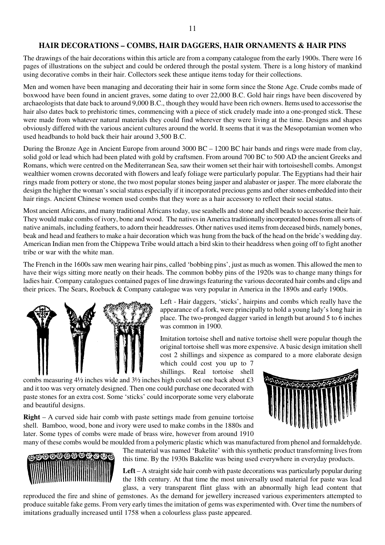## **HAIR DECORATIONS – COMBS, HAIR DAGGERS, HAIR ORNAMENTS & HAIR PINS**

The drawings of the hair decorations within this article are from a company catalogue from the early 1900s. There were 16 pages of illustrations on the subject and could be ordered through the postal system. There is a long history of mankind using decorative combs in their hair. Collectors seek these antique items today for their collections.

Men and women have been managing and decorating their hair in some form since the Stone Age. Crude combs made of boxwood have been found in ancient graves, some dating to over 22,000 B.C. Gold hair rings have been discovered by archaeologists that date back to around 9,000 B.C., though they would have been rich owners. Items used to accessorise the hair also dates back to prehistoric times, commencing with a piece of stick crudely made into a one-pronged stick. These were made from whatever natural materials they could find wherever they were living at the time. Designs and shapes obviously differed with the various ancient cultures around the world. It seems that it was the Mesopotamian women who used headbands to hold back their hair around 3,500 B.C.

During the Bronze Age in Ancient Europe from around 3000 BC – 1200 BC hair bands and rings were made from clay, solid gold or lead which had been plated with gold by craftsmen. From around 700 BC to 500 AD the ancient Greeks and Romans, which were centred on the Mediterranean Sea, saw their women set their hair with tortoiseshell combs. Amongst wealthier women crowns decorated with flowers and leafy foliage were particularly popular. The Egyptians had their hair rings made from pottery or stone, the two most popular stones being jasper and alabaster or jasper. The more elaborate the design the higher the woman's social status especially if it incorporated precious gems and other stones embedded into their hair rings. Ancient Chinese women used combs that they wore as a hair accessory to reflect their social status.

Most ancient Africans, and many traditional Africans today, use seashells and stone and shell beads to accessorise their hair. They would make combs of ivory, bone and wood. The natives in America traditionally incorporated bones from all sorts of native animals, including feathers, to adorn their headdresses. Other natives used items from deceased birds, namely bones, beak and head and feathers to make a hair decoration which was hung from the back of the head on the bride's wedding day. American Indian men from the Chippewa Tribe would attach a bird skin to their headdress when going off to fight another tribe or war with the white man.

The French in the 1600s saw men wearing hair pins, called 'bobbing pins', just as much as women. This allowed the men to have their wigs sitting more neatly on their heads. The common bobby pins of the 1920s was to change many things for ladies hair. Company catalogues contained pages of line drawings featuring the various decorated hair combs and clips and their prices. The Sears, Roebuck & Company catalogue was very popular in America in the 1890s and early 1900s.



Left - Hair daggers, 'sticks', hairpins and combs which really have the appearance of a fork, were principally to hold a young lady's long hair in place. The two-pronged dagger varied in length but around 5 to 6 inches was common in 1900.

Imitation tortoise shell and native tortoise shell were popular though the original tortoise shell was more expensive. A basic design imitation shell cost 2 shillings and sixpence as compared to a more elaborate design

which could cost you up to 7 shillings. Real tortoise shell

combs measuring 4½ inches wide and 3½ inches high could set one back about £3 and it too was very ornately designed. Then one could purchase one decorated with paste stones for an extra cost. Some 'sticks' could incorporate some very elaborate and beautiful designs.



**Right** – A curved side hair comb with paste settings made from genuine tortoise shell. Bamboo, wood, bone and ivory were used to make combs in the 1880s and later. Some types of combs were made of brass wire, however from around 1910 many of these combs would be moulded from a polymeric plastic which was manufactured from phenol and formaldehyde.



The material was named 'Bakelite' with this synthetic product transforming lives from this time. By the 1930s Bakelite was being used everywhere in everyday products.

**Left** – A straight side hair comb with paste decorations was particularly popular during the 18th century. At that time the most universally used material for paste was lead glass, a very transparent flint glass with an abnormally high lead content that

reproduced the fire and shine of gemstones. As the demand for jewellery increased various experimenters attempted to produce suitable fake gems. From very early times the imitation of gems was experimented with. Over time the numbers of imitations gradually increased until 1758 when a colourless glass paste appeared.